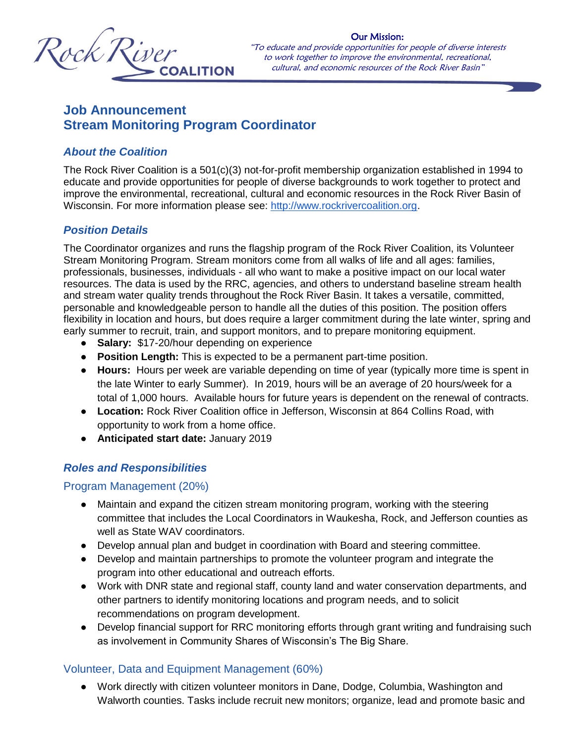

Our Mission: "To educate and provide opportunities for people of diverse interests to work together to improve the environmental, recreational, cultural, and economic resources of the Rock River Basin"

 $\blacksquare$ 

# **Job Announcement Stream Monitoring Program Coordinator**

## *About the Coalition*

The Rock River Coalition is a 501(c)(3) not-for-profit membership organization established in 1994 to educate and provide opportunities for people of diverse backgrounds to work together to protect and improve the environmental, recreational, cultural and economic resources in the Rock River Basin of Wisconsin. For more information please see: [http://www.rockrivercoalition.org.](http://www.rockrivercoalition.org/)

## *Position Details*

The Coordinator organizes and runs the flagship program of the Rock River Coalition, its Volunteer Stream Monitoring Program. Stream monitors come from all walks of life and all ages: families, professionals, businesses, individuals - all who want to make a positive impact on our local water resources. The data is used by the RRC, agencies, and others to understand baseline stream health and stream water quality trends throughout the Rock River Basin. It takes a versatile, committed, personable and knowledgeable person to handle all the duties of this position. The position offers flexibility in location and hours, but does require a larger commitment during the late winter, spring and early summer to recruit, train, and support monitors, and to prepare monitoring equipment.

- **Salary:** \$17-20/hour depending on experience
- **Position Length:** This is expected to be a permanent part-time position.
- **Hours:** Hours per week are variable depending on time of year (typically more time is spent in the late Winter to early Summer). In 2019, hours will be an average of 20 hours/week for a total of 1,000 hours. Available hours for future years is dependent on the renewal of contracts.
- **Location:** Rock River Coalition office in Jefferson, Wisconsin at 864 Collins Road, with opportunity to work from a home office.
- **Anticipated start date:** January 2019

# *Roles and Responsibilities*

#### Program Management (20%)

- Maintain and expand the citizen stream monitoring program, working with the steering committee that includes the Local Coordinators in Waukesha, Rock, and Jefferson counties as well as State WAV coordinators.
- Develop annual plan and budget in coordination with Board and steering committee.
- Develop and maintain partnerships to promote the volunteer program and integrate the program into other educational and outreach efforts.
- Work with DNR state and regional staff, county land and water conservation departments, and other partners to identify monitoring locations and program needs, and to solicit recommendations on program development.
- Develop financial support for RRC monitoring efforts through grant writing and fundraising such as involvement in Community Shares of Wisconsin's The Big Share.

#### Volunteer, Data and Equipment Management (60%)

● Work directly with citizen volunteer monitors in Dane, Dodge, Columbia, Washington and Walworth counties. Tasks include recruit new monitors; organize, lead and promote basic and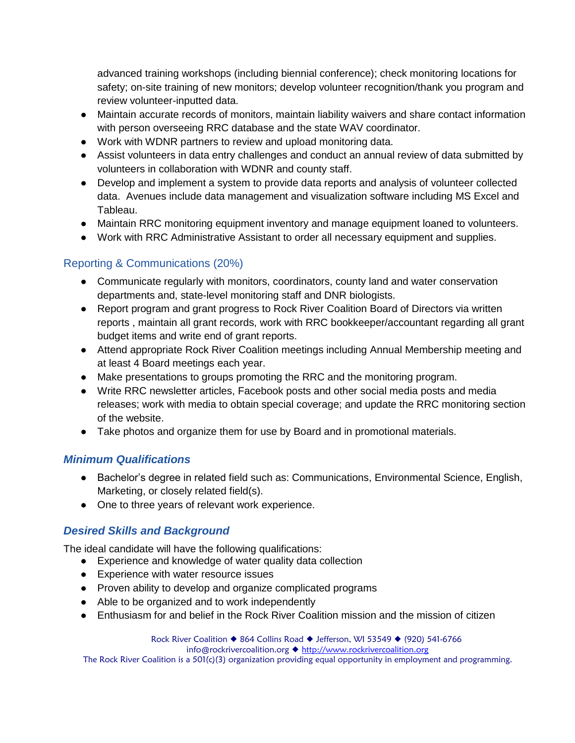advanced training workshops (including biennial conference); check monitoring locations for safety; on-site training of new monitors; develop volunteer recognition/thank you program and review volunteer-inputted data.

- Maintain accurate records of monitors, maintain liability waivers and share contact information with person overseeing RRC database and the state WAV coordinator.
- Work with WDNR partners to review and upload monitoring data.
- Assist volunteers in data entry challenges and conduct an annual review of data submitted by volunteers in collaboration with WDNR and county staff.
- Develop and implement a system to provide data reports and analysis of volunteer collected data. Avenues include data management and visualization software including MS Excel and Tableau.
- Maintain RRC monitoring equipment inventory and manage equipment loaned to volunteers.
- Work with RRC Administrative Assistant to order all necessary equipment and supplies.

# Reporting & Communications (20%)

- Communicate regularly with monitors, coordinators, county land and water conservation departments and, state-level monitoring staff and DNR biologists.
- Report program and grant progress to Rock River Coalition Board of Directors via written reports , maintain all grant records, work with RRC bookkeeper/accountant regarding all grant budget items and write end of grant reports.
- Attend appropriate Rock River Coalition meetings including Annual Membership meeting and at least 4 Board meetings each year.
- Make presentations to groups promoting the RRC and the monitoring program.
- Write RRC newsletter articles, Facebook posts and other social media posts and media releases; work with media to obtain special coverage; and update the RRC monitoring section of the website.
- Take photos and organize them for use by Board and in promotional materials.

#### *Minimum Qualifications*

- Bachelor's degree in related field such as: Communications, Environmental Science, English, Marketing, or closely related field(s).
- One to three years of relevant work experience.

# *Desired Skills and Background*

The ideal candidate will have the following qualifications:

- Experience and knowledge of water quality data collection
- Experience with water resource issues
- Proven ability to develop and organize complicated programs
- Able to be organized and to work independently
- Enthusiasm for and belief in the Rock River Coalition mission and the mission of citizen

Rock River Coalition ♦ 864 Collins Road ♦ Jefferson, WI 53549 ♦ (920) 541-6766 info@rockrivercoalition.org ♦ [http://www.rockrivercoalition.org](http://www.rockrivercoalition.org/) The Rock River Coalition is a 501(c)(3) organization providing equal opportunity in employment and programming.